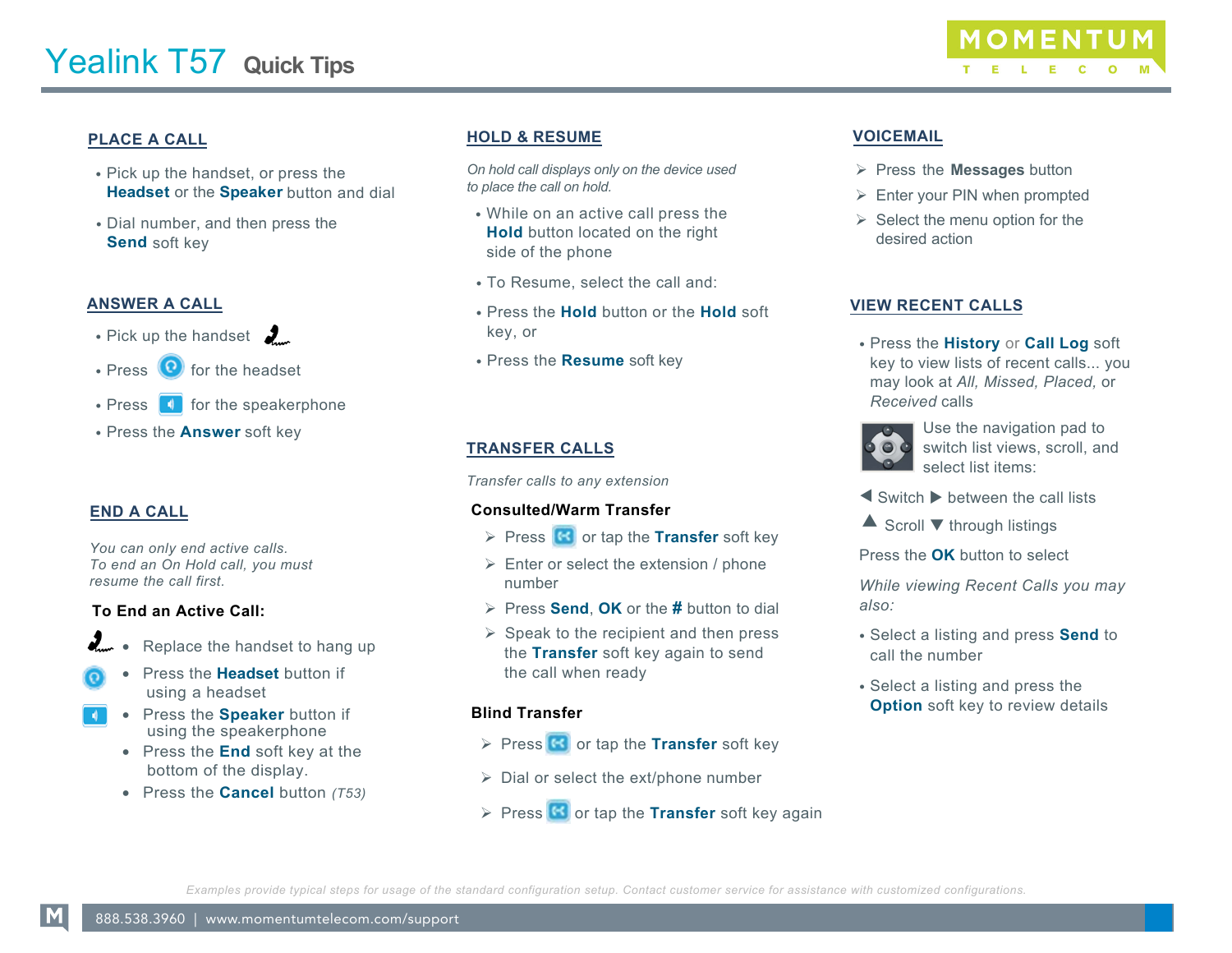

# **PLACE A CALL**

- Pick up the handset, or press the **Headset** or the **Speaker** button and dial
- Dial number, and then press the **Send** soft key

### **ANSWER A CALL**

- Pick up the handset  $\frac{1}{2}$
- Press  $\left( \bullet \right)$  for the headset
- $\cdot$  Press  $\begin{array}{|c|} \hline \end{array}$  for the speakerphone
- Press the **Answer** soft key

## **END A CALL**

*You can only end active calls. To end an On Hold call, you must resume the call first.* 

#### **To End an Active Call:**

- Replace the handset to hang up
- Press the **Headset** button if using a headset
- Press the **Speaker** button if using the speakerphone
	- Press the **End** soft key at the bottom of the display.
	- Press the **Cancel** button *(T53)*

# **HOLD & RESUME**

*On hold call displays only on the device used to place the call on hold.*

- While on an active call press the **Hold** button located on the right side of the phone
- To Resume, select the call and:
- Press the **Hold** button or the **Hold** soft key, or
- Press the **Resume** soft key

# **TRANSFER CALLS**

*Transfer calls to any extension*

#### **Consulted/Warm Transfer**

- **Press G** or tap the **Transfer** soft key
- $\triangleright$  Enter or select the extension / phone number
- Press **Send**, **OK** or the **#** button to dial
- $\triangleright$  Speak to the recipient and then press the **Transfer** soft key again to send the call when ready

#### **Blind Transfer**

- **Press G** or tap the **Transfer** soft key
- $\triangleright$  Dial or select the ext/phone number
- $\triangleright$  Press  $\left($ **S** or tap the **Transfer** soft key again

## **VOICEMAIL**

- Press the **Messages** button
- $\triangleright$  Enter your PIN when prompted
- $\triangleright$  Select the menu option for the desired action

#### **VIEW RECENT CALLS**

• Press the **History** or **Call Log** soft key to view lists of recent calls... you may look at *All, Missed, Placed,* or *Received* calls



Use the navigation pad to switch list views, scroll, and select list items:

- $\blacktriangleleft$  Switch  $\blacktriangleright$  between the call lists
- $\triangle$  Scroll  $\nabla$  through listings
- Press the **OK** button to select

*While viewing Recent Calls you may also:* 

- Select a listing and press **Send** to call the number
- Select a listing and press the **Option** soft key to review details

*Examples provide typical steps for usage of the standard configuration setup. Contact customer service for assistance with customized configurations.*